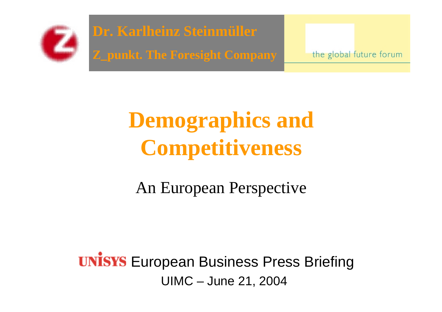

**Dr. Karlheinz Steinmüller Z\_punkt. The Foresight Company**

the global future forum

### **Demographics and Competitiveness**

An European Perspective

**UNISYS** European Business Press Briefing UIMC – June 21, 2004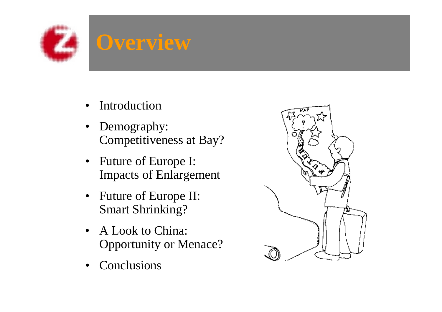

- •Introduction
- $\bullet$  Demography: Competitiveness at Bay?
- Future of Europe I: Impacts of Enlargement
- Future of Europe II: Smart Shrinking?
- A Look to China: Opportunity or Menace?
- •Conclusions

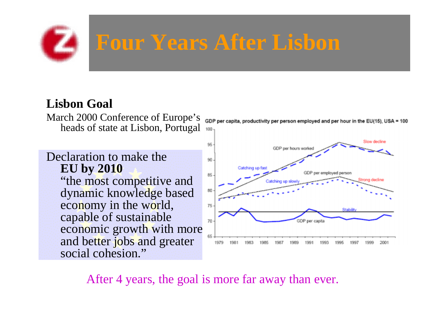# **Four Years After Lisbon**

#### **Lisbon Goal**

March 2000 Conference of Europe's heads of state at Lisbon, Portugal

#### Declaration to make the **EU by 2010**

"the most competitive and dynamic knowledge based economy in the world, capable of sustainable economic growth with more and better jobs and greater social cohesion."

GDP per capita, productivity per person employed and per hour in the EU(15), USA 100



After 4 years, the goal is more far away than ever.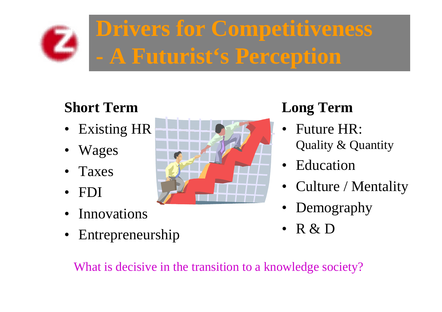

**Drivers for Competitiveness A Futurist's Perception**

### **Short Term**

- Existing HR
- Wages
- Taxes
- FDI
- Innovations
- Entrepreneurship



### **Long Term**

- • Future HR: Quality & Quantity
- Education
- Culture / Mentality
- Demography
- R & D

What is decisive in the transition to a knowledge society?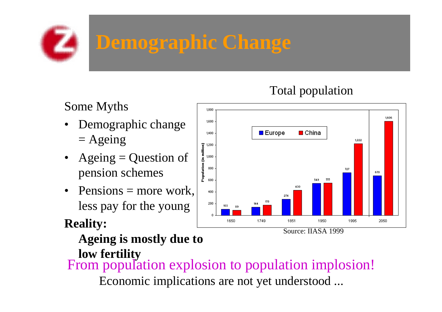# **Demographic Change**

#### Total population

#### Some Myths

- • Demographic change  $=$  Ageing
- Ageing  $=$  Question of pension schemes
- Pensions  $=$  more work, less pay for the young

### **Reality:**

**Ageing is mostly due to** 

**low fertility** From population explosion to population implosion! Economic implications are not ye<sup>t</sup> understood ...

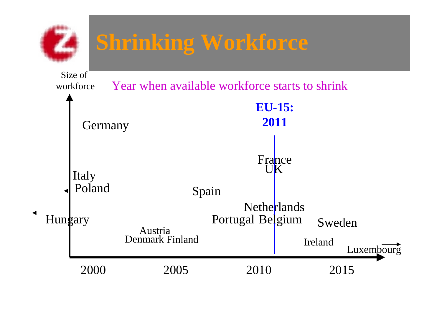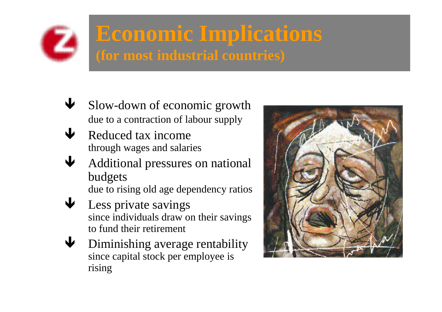

### **Economic Implications (for most industrial countries)**

- $\blacklozenge$  Slow-down of economic growth due to a contraction of labour supply
- $\blacklozenge$  Reduced tax income through wages and salaries
- $\bigcup$  Additional pressures on national budgets due to rising old age dependency ratios
- $\blacklozenge$  Less private savings since individuals draw on their savings to fund their retirement
- $\blacklozenge$  Diminishing average rentability since capital stock per employee is rising

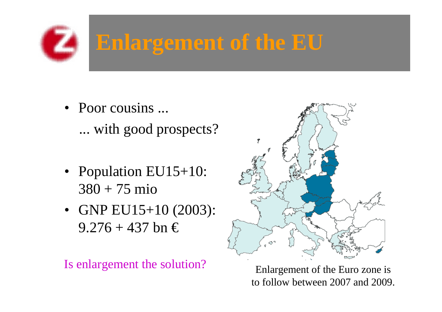### **Enlargement of the EU**

- Poor cousins ... ... with good prospects?
- Population EU15+10: 380 + 75 mio
- GNP EU15+10 (2003):  $9.276 + 437$  bn  $\in$

Is enlargement the solution?



Enlargement of the Euro zone is to follow between 2007 and 2009.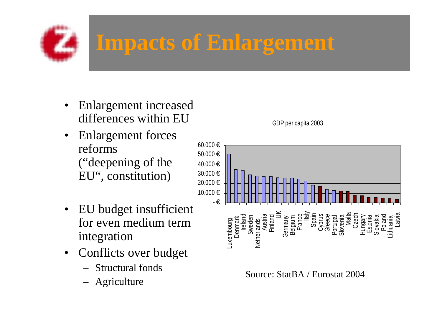### **Impacts of Enlargement**

- • Enlargement increased differences within EU
- • Enlargement forces reforms ("deepening of the EU", constitution)
- EU budget insufficient for even medium term integration
- Conflicts over budget
	- –Structural fonds
	- –Agriculture



Source: StatBA / Eurostat 2004

GDP per capita 2003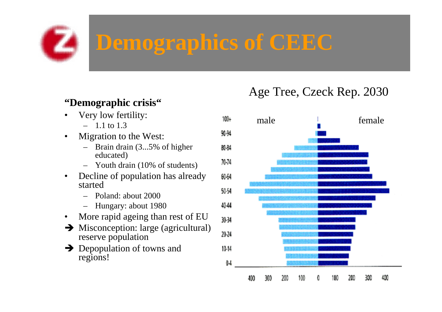### **Demographics of CEEC**

#### **"Demographic crisis"**

- • Very low fertility: – 1.1 to 1.3
- • Migration to the West:
	- – Brain drain (3...5% of higher educated)
	- Youth drain (10% of students)
- • Decline of population has already started
	- Poland: about 2000
	- Hungary: about 1980
- $\bullet$ More rapid ageing than rest of EU
- $\rightarrow$  Misconception: large (agricultural) reserve population
- $\rightarrow$  Depopulation of towns and regions!

#### Age Tree, Czeck Rep. 2030

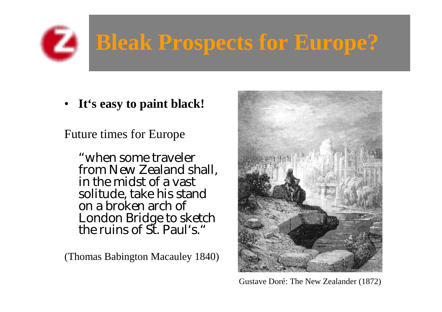# **Bleak Prospects for Europe?**

• **It's easy to paint black!**

Future times for Europe

"when some traveler from New Zealand shall, in the midst of a vast solitude, take his stand on a broken arch of London Bridge to sketch<br>the ruins of St. Paul's."

(Thomas Babington Macauley 1840)



Gustave Doré: The New Zealander (1872)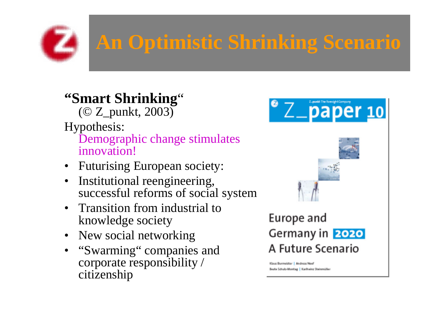

### **An Optimistic Shrinking Scenario**

#### **"Smart Shrinking** " $(CZ$  punkt, 2003)

Hypothesis:

Demographic change stimulates innovation!

- Futurising European society:
- $\bullet$  Institutional reengineering, successful reforms of social system
- Transition from industrial to knowledge society
- New social networking
- "Swarming" companies and corporate responsibility / citizenship



### A Future Scenario

Klaus Burmeister | Andreas Neef Beate Schulz-Montag | Karlheinz Steinmüller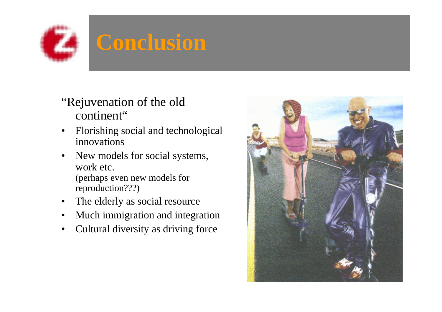### **Conclusion**

- "Rejuvenation of the old continent"
- $\bullet$  Florishing social and technological innovations
- • New models for social systems, work etc. (perhaps even new models for reproduction???)
- •The elderly as social resource
- •Much immigration and integration
- •Cultural diversity as driving force

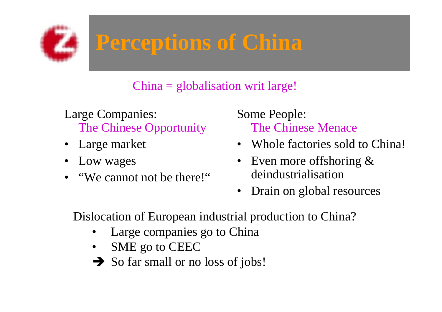

### **Perceptions of China**

#### China = globalisation writ large!

Large Companies: The Chinese Opportunity

- Large market
- Low wages
- "We cannot not be there!"

Some People: The Chinese Menace

- Whole factories sold to China!
- $\bullet$  Even more offshoring & deindustrialisation
- $\bullet$ Drain on global resources

Dislocation of European industrial production to China?

- •Large companies go to China
- •SME go to CEEC
- So far small or no loss of jobs!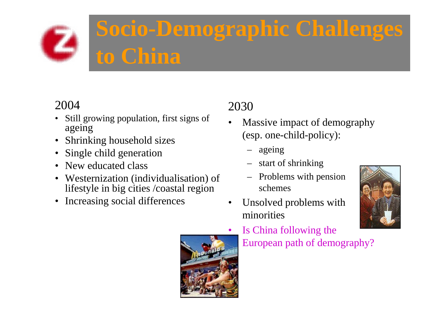

### **Socio-Demographic Challenges to China**

#### 2004

- • Still growing population, first signs of ageing
- Shrinking household sizes
- Single child generation
- New educated class
- Westernization (individualisation) of lifestyle in big cities /coastal region
- •Increasing social differences

### 2030

- • Massive impact of demography (esp. one-child-policy):
	- ageing
	- start of shrinking
	- Problems with pension schemes



• Unsolved problems with minorities



 Is China following the European path of demography?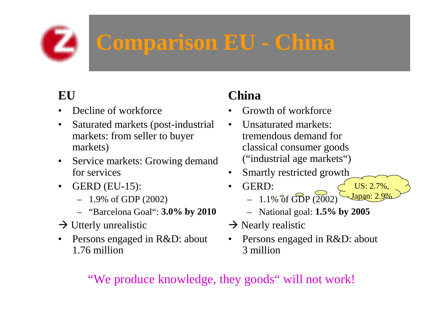### **Comparison EU - China**

### **EU**

- •Decline of workforce
- • Saturated markets (post-industrial markets: from seller to buyer markets)
- $\bullet$  Service markets: Growing demand for services
- • GERD (EU-15):
	- 1.9% of GDP (2002)
	- "Barcelona Goal": **3.0% by 2010**
- $\rightarrow$  Utterly unrealistic
- • Persons engaged in R&D: about 1.76 million

### **China**

- •Growth of workforce
- • Unsaturated markets: tremendous demand for classical consumer goods ("industrial age markets")
- • Smartly restricted growth
	- GERD:  $-1.1\%$  of GDP (2002) US: 2.7%, Japan: 2.9%
		- National goal: **1.5% by 2005**
- $\rightarrow$  Nearly realistic
- • Persons engaged in R&D: about 3 million

#### "We produce knowledge, they goods" will not work!

•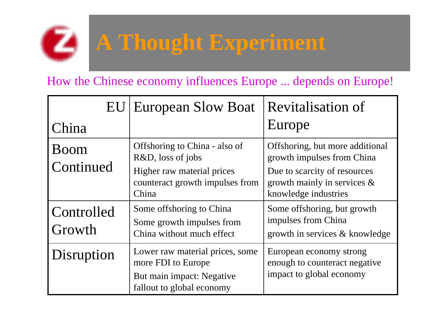

### **A Thought Experiment**

#### How the Chinese economy influences Europe ... depends on Europe!

|                      | <b>EU</b> European Slow Boat                                                       | <b>Revitalisation of</b>                                                               |
|----------------------|------------------------------------------------------------------------------------|----------------------------------------------------------------------------------------|
| China                |                                                                                    | Europe                                                                                 |
| Boom                 | Offshoring to China - also of<br>R&D, loss of jobs                                 | Offshoring, but more additional<br>growth impulses from China                          |
| Continued            | Higher raw material prices<br>counteract growth impulses from<br>China             | Due to scarcity of resources<br>growth mainly in services $\&$<br>knowledge industries |
| Controlled<br>Growth | Some offshoring to China<br>Some growth impulses from<br>China without much effect | Some offshoring, but growth<br>impulses from China<br>growth in services & knowledge   |
| Disruption           | Lower raw material prices, some<br>more FDI to Europe                              | European economy strong<br>enough to counteract negative                               |
|                      | But main impact: Negative<br>fallout to global economy                             | impact to global economy                                                               |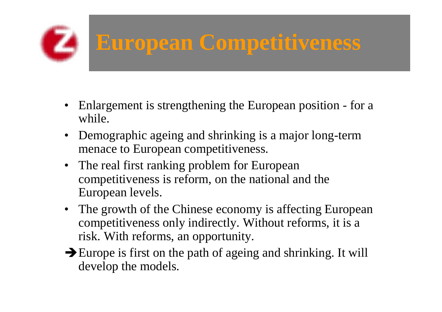## **European Competitiveness**

- Enlargement is strengthening the European position for a while.
- Demographic ageing and shrinking is a major long-term menace to European competitiveness.
- The real first ranking problem for European competitiveness is reform, on the national and the European levels.
- The growth of the Chinese economy is affecting European competitiveness only indirectly. Without reforms, it is <sup>a</sup> risk. With reforms, an opportunity.
- $\rightarrow$  Europe is first on the path of ageing and shrinking. It will develop the models.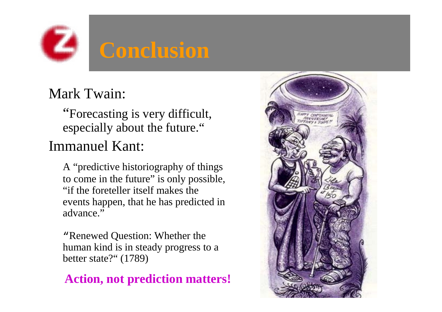

### Mark Twain:

"Forecasting is very difficult, especially about the future."

### Immanuel Kant:

A "predictive historiography of things to come in the future" is only possible, "if the foreteller itself makes the events happen, that he has predicted in advance."

"Renewed Question: Whether the human kind is in steady progress to a better state?" (1789)

#### **Action, not prediction matters!**